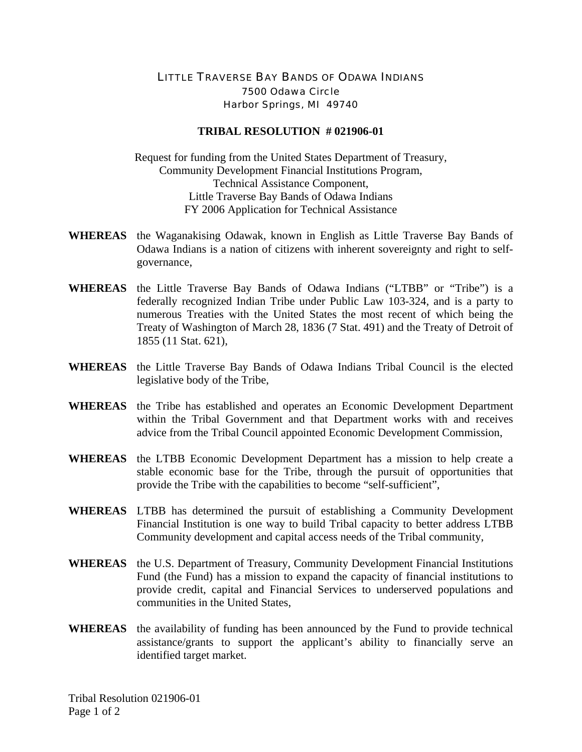## LITTLE TRAVERSE BAY BANDS OF ODAWA INDIANS 7500 Odawa Circle Harbor Springs, MI 49740

## **TRIBAL RESOLUTION # 021906-01**

Request for funding from the United States Department of Treasury, Community Development Financial Institutions Program, Technical Assistance Component, Little Traverse Bay Bands of Odawa Indians FY 2006 Application for Technical Assistance

- **WHEREAS** the Waganakising Odawak, known in English as Little Traverse Bay Bands of Odawa Indians is a nation of citizens with inherent sovereignty and right to selfgovernance,
- **WHEREAS** the Little Traverse Bay Bands of Odawa Indians ("LTBB" or "Tribe") is a federally recognized Indian Tribe under Public Law 103-324, and is a party to numerous Treaties with the United States the most recent of which being the Treaty of Washington of March 28, 1836 (7 Stat. 491) and the Treaty of Detroit of 1855 (11 Stat. 621),
- **WHEREAS** the Little Traverse Bay Bands of Odawa Indians Tribal Council is the elected legislative body of the Tribe,
- **WHEREAS** the Tribe has established and operates an Economic Development Department within the Tribal Government and that Department works with and receives advice from the Tribal Council appointed Economic Development Commission,
- **WHEREAS** the LTBB Economic Development Department has a mission to help create a stable economic base for the Tribe, through the pursuit of opportunities that provide the Tribe with the capabilities to become "self-sufficient",
- **WHEREAS** LTBB has determined the pursuit of establishing a Community Development Financial Institution is one way to build Tribal capacity to better address LTBB Community development and capital access needs of the Tribal community,
- **WHEREAS** the U.S. Department of Treasury, Community Development Financial Institutions Fund (the Fund) has a mission to expand the capacity of financial institutions to provide credit, capital and Financial Services to underserved populations and communities in the United States,
- **WHEREAS** the availability of funding has been announced by the Fund to provide technical assistance/grants to support the applicant's ability to financially serve an identified target market.